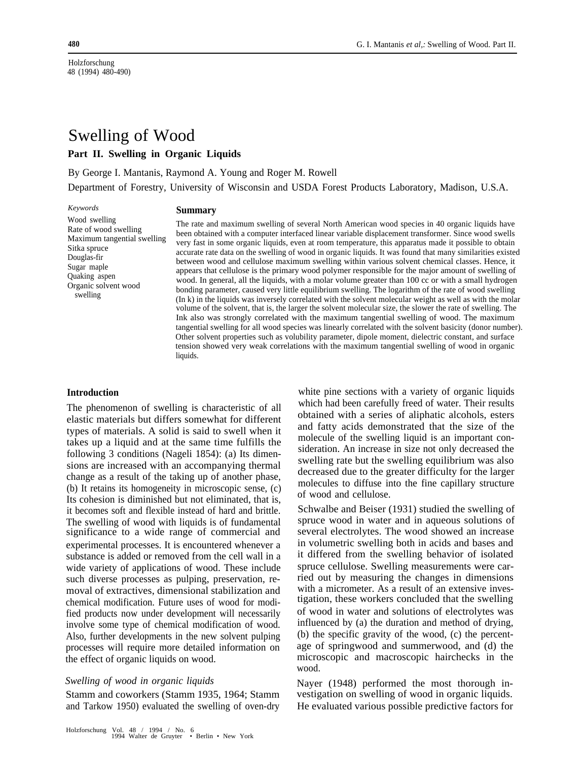Holzforschung 48 (1994) 480-490)

# Swelling of Wood

# **Part II. Swelling in Organic Liquids**

By George I. Mantanis, Raymond A. Young and Roger M. Rowell

Department of Forestry, University of Wisconsin and USDA Forest Products Laboratory, Madison, U.S.A.

*Keywords*

### **Summary**

Wood swelling Rate of wood swelling Maximum tangential swelling Sitka spruce Douglas-fir Sugar maple Quaking aspen Organic solvent wood swelling

The rate and maximum swelling of several North American wood species in 40 organic liquids have been obtained with a computer interfaced linear variable displacement transformer. Since wood swells very fast in some organic liquids, even at room temperature, this apparatus made it possible to obtain accurate rate data on the swelling of wood in organic liquids. It was found that many similarities existed between wood and cellulose maximum swelling within various solvent chemical classes. Hence, it appears that cellulose is the primary wood polymer responsible for the major amount of swelling of wood. In general, all the liquids, with a molar volume greater than 100 cc or with a small hydrogen bonding parameter, caused very little equilibrium swelling. The logarithm of the rate of wood swelling (In k) in the liquids was inversely correlated with the solvent molecular weight as well as with the molar volume of the solvent, that is, the larger the solvent molecular size, the slower the rate of swelling. The Ink also was strongly correlated with the maximum tangential swelling of wood. The maximum tangential swelling for all wood species was linearly correlated with the solvent basicity (donor number). Other solvent properties such as volubility parameter, dipole moment, dielectric constant, and surface tension showed very weak correlations with the maximum tangential swelling of wood in organic liquids.

### **Introduction**

The phenomenon of swelling is characteristic of all elastic materials but differs somewhat for different types of materials. A solid is said to swell when it takes up a liquid and at the same time fulfills the following 3 conditions (Nageli 1854): (a) Its dimensions are increased with an accompanying thermal change as a result of the taking up of another phase, (b) It retains its homogeneity in microscopic sense, (c) Its cohesion is diminished but not eliminated, that is, it becomes soft and flexible instead of hard and brittle. The swelling of wood with liquids is of fundamental significance to a wide range of commercial and experimental processes. It is encountered whenever a substance is added or removed from the cell wall in a wide variety of applications of wood. These include such diverse processes as pulping, preservation, removal of extractives, dimensional stabilization and chemical modification. Future uses of wood for modified products now under development will necessarily involve some type of chemical modification of wood. Also, further developments in the new solvent pulping processes will require more detailed information on the effect of organic liquids on wood.

### *Swelling of wood in organic liquids*

Stamm and coworkers (Stamm 1935, 1964; Stamm and Tarkow 1950) evaluated the swelling of oven-dry

Holzforschung Vol. 48 / 1994 / No. 6 1994 Walter de Gruyter • Berlin • New York

white pine sections with a variety of organic liquids which had been carefully freed of water. Their results obtained with a series of aliphatic alcohols, esters and fatty acids demonstrated that the size of the molecule of the swelling liquid is an important consideration. An increase in size not only decreased the swelling rate but the swelling equilibrium was also decreased due to the greater difficulty for the larger molecules to diffuse into the fine capillary structure of wood and cellulose.

Schwalbe and Beiser (1931) studied the swelling of spruce wood in water and in aqueous solutions of several electrolytes. The wood showed an increase in volumetric swelling both in acids and bases and it differed from the swelling behavior of isolated spruce cellulose. Swelling measurements were carried out by measuring the changes in dimensions with a micrometer. As a result of an extensive investigation, these workers concluded that the swelling of wood in water and solutions of electrolytes was influenced by (a) the duration and method of drying, (b) the specific gravity of the wood, (c) the percentage of springwood and summerwood, and (d) the microscopic and macroscopic hairchecks in the wood.

Nayer (1948) performed the most thorough investigation on swelling of wood in organic liquids. He evaluated various possible predictive factors for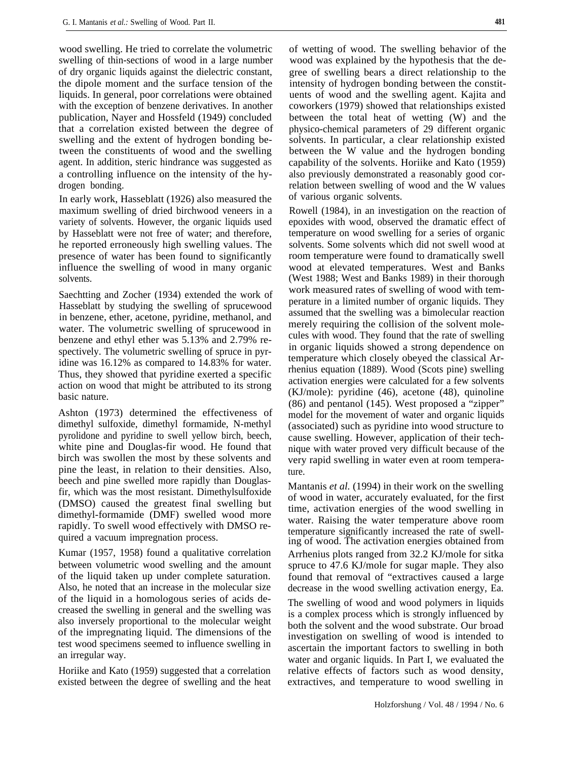wood swelling. He tried to correlate the volumetric swelling of thin-sections of wood in a large number of dry organic liquids against the dielectric constant, the dipole moment and the surface tension of the liquids. In general, poor correlations were obtained with the exception of benzene derivatives. In another publication, Nayer and Hossfeld (1949) concluded that a correlation existed between the degree of swelling and the extent of hydrogen bonding between the constituents of wood and the swelling agent. In addition, steric hindrance was suggested aS a controlling influence on the intensity of the hydrogen bonding.

In early work, Hasseblatt (1926) also measured the maximum swelling of dried birchwood veneers in a variety of solvents. However, the organic liquids used by Hasseblatt were not free of water; and therefore, he reported erroneously high swelling values. The presence of water has been found to significantly influence the swelling of wood in many organic solvents.

Saechtting and Zocher (1934) extended the work of Hasseblatt by studying the swelling of sprucewood in benzene, ether, acetone, pyridine, methanol, and water. The volumetric swelling of sprucewood in benzene and ethyl ether was 5.13% and 2.79% respectively. The volumetric swelling of spruce in pyridine was 16.12% as compared to 14.83% for water. Thus, they showed that pyridine exerted a specific action on wood that might be attributed to its strong basic nature.

Ashton (1973) determined the effectiveness of dimethyl sulfoxide, dimethyl formamide, N-methyl pyrolidone and pyridine to swell yellow birch, beech, white pine and Douglas-fir wood. He found that birch was swollen the most by these solvents and pine the least, in relation to their densities. Also, beech and pine swelled more rapidly than Douglasfir, which was the most resistant. Dimethylsulfoxide (DMSO) caused the greatest final swelling but dimethyl-formamide (DMF) swelled wood more rapidly. To swell wood effectively with DMSO required a vacuum impregnation process.

Kumar (1957, 1958) found a qualitative correlation between volumetric wood swelling and the amount of the liquid taken up under complete saturation. Also, he noted that an increase in the molecular size of the liquid in a homologous series of acids decreased the swelling in general and the swelling was also inversely proportional to the molecular weight of the impregnating liquid. The dimensions of the test wood specimens seemed to influence swelling in an irregular way.

Horiike and Kato (1959) suggested that a correlation existed between the degree of swelling and the heat of wetting of wood. The swelling behavior of the wood was explained by the hypothesis that the degree of swelling bears a direct relationship to the intensity of hydrogen bonding between the constituents of wood and the swelling agent. Kajita and coworkers (1979) showed that relationships existed between the total heat of wetting (W) and the physico-chemical parameters of 29 different organic solvents. In particular, a clear relationship existed between the W value and the hydrogen bonding capability of the solvents. Horiike and Kato (1959) also previously demonstrated a reasonably good correlation between swelling of wood and the W values of various organic solvents.

Rowell (1984), in an investigation on the reaction of epoxides with wood, observed the dramatic effect of temperature on wood swelling for a series of organic solvents. Some solvents which did not swell wood at room temperature were found to dramatically swell wood at elevated temperatures. West and Banks (West 1988; West and Banks 1989) in their thorough work measured rates of swelling of wood with temperature in a limited number of organic liquids. They assumed that the swelling was a bimolecular reaction merely requiring the collision of the solvent molecules with wood. They found that the rate of swelling in organic liquids showed a strong dependence on temperature which closely obeyed the classical Arrhenius equation (1889). Wood (Scots pine) swelling activation energies were calculated for a few solvents (KJ/mole): pyridine (46), acetone (48), quinoline (86) and pentanol (145). West proposed a "zipper" model for the movement of water and organic liquids (associated) such as pyridine into wood structure to cause swelling. However, application of their technique with water proved very difficult because of the very rapid swelling in water even at room temperature.

Mantanis *et al.* (1994) in their work on the swelling of wood in water, accurately evaluated, for the first time, activation energies of the wood swelling in water. Raising the water temperature above room temperature significantly increased the rate of swelling of wood. The activation energies obtained from Arrhenius plots ranged from 32.2 KJ/mole for sitka spruce to 47.6 KJ/mole for sugar maple. They also found that removal of "extractives caused a large decrease in the wood swelling activation energy, Ea.

The swelling of wood and wood polymers in liquids is a complex process which is strongly influenced by both the solvent and the wood substrate. Our broad investigation on swelling of wood is intended to ascertain the important factors to swelling in both water and organic liquids. In Part I, we evaluated the relative effects of factors such as wood density, extractives, and temperature to wood swelling in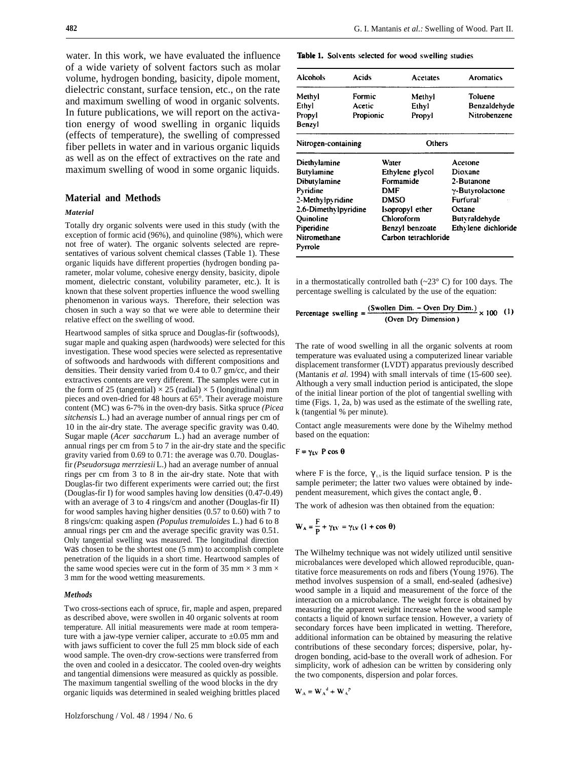water. In this work, we have evaluated the influence of a wide variety of solvent factors such as molar volume, hydrogen bonding, basicity, dipole moment, dielectric constant, surface tension, etc., on the rate and maximum swelling of wood in organic solvents. In future publications, we will report on the activation energy of wood swelling in organic liquids (effects of temperature), the swelling of compressed fiber pellets in water and in various organic liquids as well as on the effect of extractives on the rate and maximum swelling of wood in some organic liquids.

## **Material and Methods**

### *Material*

Totally dry organic solvents were used in this study (with the exception of formic acid (96%), and quinoline (98%), which were not free of water). The organic solvents selected are representatives of various solvent chemical classes (Table 1). These organic liquids have different properties (hydrogen bonding parameter, molar volume, cohesive energy density, basicity, dipole moment, dielectric constant, volubility parameter, etc.). It is known that these solvent properties influence the wood swelling phenomenon in various ways. Therefore, their selection was chosen in such a way so that we were able to determine their relative effect on the swelling of wood.

Heartwood samples of sitka spruce and Douglas-fir (softwoods), sugar maple and quaking aspen (hardwoods) were selected for this investigation. These wood species were selected as representative of softwoods and hardwoods with different compositions and densities. Their density varied from 0.4 to 0.7 gm/cc, and their extractives contents are very different. The samples were cut in the form of 25 (tangential)  $\times$  25 (radial)  $\times$  5 (longitudinal) mm pieces and oven-dried for 48 hours at 65°. Their average moisture content (MC) was 6-7% in the oven-dry basis. Sitka spruce *(Picea sitchensis* L.) had an average number of annual rings per cm of 10 in the air-dry state. The average specific gravity was 0.40. Sugar maple (*Acer saccharum* L.) had an average number of annual rings per cm from 5 to 7 in the air-dry state and the specific gravity varied from 0.69 to 0.71: the average was 0.70. Douglasfir *(Pseudorsuga merrziesii* L.) had an average number of annual rings per cm from 3 to 8 in the air-dry state. Note that with Douglas-fir two different experiments were carried out; the first (Douglas-fir I) for wood samples having low densities (0.47-0.49) with an average of 3 to 4 rings/cm and another (Douglas-fir II) for wood samples having higher densities (0.57 to 0.60) with 7 to 8 rings/cm: quaking aspen *(Populus tremuloides* L.) had 6 to 8 annual rings per cm and the average specific gravity was 0.51. Only tangential swelling was measured. The longitudinal direction was chosen to be the shortest one (5 mm) to accomplish complete penetration of the liquids in a short time. Heartwood samples of the same wood species were cut in the form of 35 mm  $\times$  3 mm  $\times$ 3 mm for the wood wetting measurements.

#### *Methods*

Two cross-sections each of spruce, fir, maple and aspen, prepared as described above, were swollen in 40 organic solvents at room temperature. All initial measurements were made at room temperature with a jaw-type vernier caliper, accurate to  $\pm 0.05$  mm and with jaws sufficient to cover the full 25 mm block side of each wood sample. The oven-dry crow-sections were transferred from the oven and cooled in a desiccator. The cooled oven-dry weights and tangential dimensions were measured as quickly as possible. The maximum tangential swelling of the wood blocks in the dry organic liquids was determined in sealed weighing brittles placed

Table 1. Solvents selected for wood swelling studies

| Alcohols             | Acids     | Acetates             | <b>Aromatics</b>    |  |
|----------------------|-----------|----------------------|---------------------|--|
| Methyl               | Formic    | Methyl               | Toluene             |  |
| Ethyl                | Acetic    | Ethyl                | Benzaldehyde        |  |
| Propyl               | Propionic | Propyl               | Nitrobenzene        |  |
| Benzyl               |           |                      |                     |  |
| Nitrogen-containing  |           | Others               |                     |  |
| Diethvlamine         |           | Water                | Acetone             |  |
| Butylamine           |           | Ethylene glycol      | Dioxane             |  |
| Dibutylamine         |           | Formamide            | 2-Butanone          |  |
| Pyridine             |           | <b>DMF</b>           | y-Butyrolactone     |  |
| 2-Methylpyridine     |           | <b>DMSO</b>          | Furfural:           |  |
| 2.6-Dimethylpyridine |           | Isopropyl ether      | Octane              |  |
| Quinoline            |           | Chloroform           | Butvraldehyde       |  |
| Piperidine           |           | Benzyl benzoate      | Ethylene dichloride |  |
| Nitromethane         |           | Carbon tetrachloride |                     |  |
| Pyrrole              |           |                      |                     |  |

in a thermostatically controlled bath  $(\sim 23^{\circ} \text{ C})$  for 100 days. The percentage swelling is calculated by the use of the equation:

# Percentage swelling =  $\frac{\text{(Swollen Dim. - Over Dry Dim.)}}{\text{(Oous Den. Dim. Dimension)}} \times 100$  (1) (Oven Dry Dimension)

The rate of wood swelling in all the organic solvents at room temperature was evaluated using a computerized linear variable displacement transformer (LVDT) apparatus previously described (Mantanis *et al.* 1994) with small intervals of time (15-600 see). Although a very small induction period is anticipated, the slope of the initial linear portion of the plot of tangential swelling with time (Figs. 1, 2a, b) was used as the estimate of the swelling rate, k (tangential % per minute).

Contact angle measurements were done by the Wihelmy method based on the equation:

#### $F = \gamma_{LV} P \cos \theta$

where F is the force,  $\gamma_{\mu\nu}$  is the liquid surface tension. P is the sample perimeter; the latter two values were obtained by independent measurement, which gives the contact angle, θ .

The work of adhesion was then obtained from the equation:

$$
W_A = \frac{F}{P} + \gamma_{LV} = \gamma_{LV} (1 + \cos \theta)
$$

The Wilhelmy technique was not widely utilized until sensitive microbalances were developed which allowed reproducible, quantitative force measurements on rods and fibers (Young 1976). The method involves suspension of a small, end-sealed (adhesive) wood sample in a liquid and measurement of the force of the interaction on a microbalance. The weight force is obtained by measuring the apparent weight increase when the wood sample contacts a liquid of known surface tension. However, a variety of secondary forces have been implicated in wetting. Therefore, additional information can be obtained by measuring the relative contributions of these secondary forces; dispersive, polar, hydrogen bonding, acid-base to the overall work of adhesion. For simplicity, work of adhesion can be written by considering only the two components, dispersion and polar forces.

$$
\mathbf{W}_{\mathbf{A}} = \mathbf{W}_{\mathbf{A}}^{\mathbf{d}} + \mathbf{W}_{\mathbf{A}}^{\mathbf{p}}
$$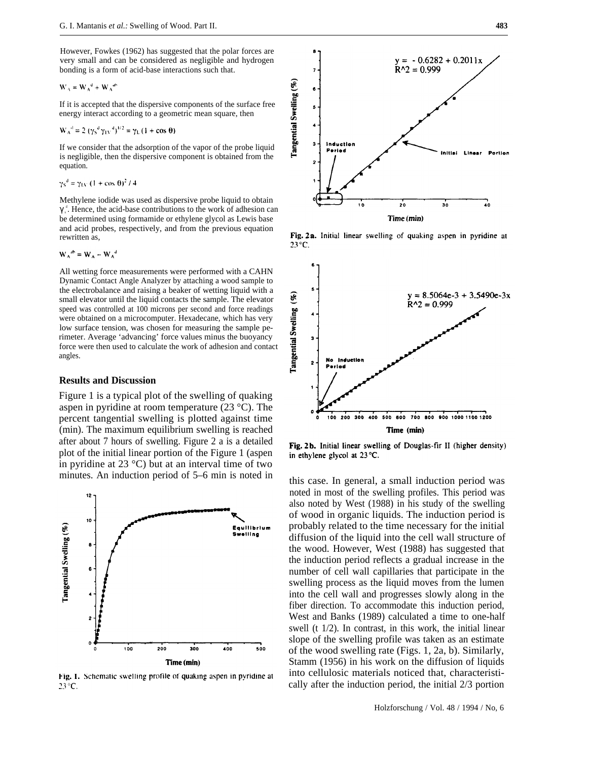However, Fowkes (1962) has suggested that the polar forces are very small and can be considered as negligible and hydrogen bonding is a form of acid-base interactions such that.

$$
W_A = W_A^d + W_A^d
$$

If it is accepted that the dispersive components of the surface free energy interact according to a geometric mean square, then

$$
W_A^{d} = 2 (\gamma_S^{d} \gamma_{1V}^{d})^{1/2} = \gamma_L (1 + \cos \theta)
$$

If we consider that the adsorption of the vapor of the probe liquid is negligible, then the dispersive component is obtained from the equation.

 $\gamma_S^d = \gamma_{\rm LV} (1 + \cos \theta)^2 / 4$ 

Methylene iodide was used as dispersive probe liquid to obtain  $\gamma_s^d$ . Hence, the acid-base contributions to the work of adhesion can be determined using formamide or ethylene glycol as Lewis base and acid probes, respectively, and from the previous equation rewritten as,

 $W_A^{ab} = W_A - W_A^d$ 

All wetting force measurements were performed with a CAHN Dynamic Contact Angle Analyzer by attaching a wood sample to the electrobalance and raising a beaker of wetting liquid with a small elevator until the liquid contacts the sample. The elevator speed was controlled at 100 microns per second and force readings were obtained on a microcomputer. Hexadecane, which has very low surface tension, was chosen for measuring the sample perimeter. Average 'advancing' force values minus the buoyancy force were then used to calculate the work of adhesion and contact angles.

### **Results and Discussion**

Figure 1 is a typical plot of the swelling of quaking aspen in pyridine at room temperature (23 °C). The percent tangential swelling is plotted against time (min). The maximum equilibrium swelling is reached after about 7 hours of swelling. Figure 2 a is a detailed plot of the initial linear portion of the Figure 1 (aspen in pyridine at 23 °C) but at an interval time of two minutes. An induction period of 5–6 min is noted in this case. In general, a small induction period was



Fig. 1. Schematic swelling profile of quaking aspen in pyridine at  $23^{\circ}$ C.



Fig. 2a. Initial linear swelling of quaking aspen in pyridine at  $23^{\circ}$ C.



Fig. 2b. Initial linear swelling of Douglas-fir II (higher density) in ethylene glycol at 23 °C.

noted in most of the swelling profiles. This period was also noted by West (1988) in his study of the swelling of wood in organic liquids. The induction period is probably related to the time necessary for the initial diffusion of the liquid into the cell wall structure of the wood. However, West (1988) has suggested that the induction period reflects a gradual increase in the number of cell wall capillaries that participate in the swelling process as the liquid moves from the lumen into the cell wall and progresses slowly along in the fiber direction. To accommodate this induction period, West and Banks (1989) calculated a time to one-half swell (t 1/2). In contrast, in this work, the initial linear slope of the swelling profile was taken as an estimate of the wood swelling rate (Figs. 1, 2a, b). Similarly, Stamm (1956) in his work on the diffusion of liquids into cellulosic materials noticed that, characteristically after the induction period, the initial 2/3 portion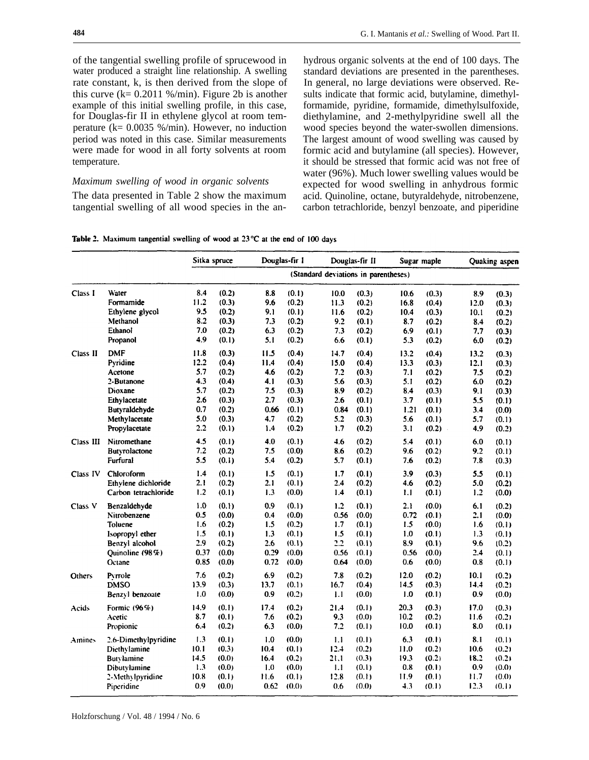of the tangential swelling profile of sprucewood in water produced a straight line relationship. A swelling rate constant, k, is then derived from the slope of this curve  $(k= 0.2011 \frac{\omega}{\text{min}})$ . Figure 2b is another example of this initial swelling profile, in this case, for Douglas-fir II in ethylene glycol at room temperature ( $k = 0.0035$  %/min). However, no induction period was noted in this case. Similar measurements were made for wood in all forty solvents at room temperature.

# *Maximum swelling of wood in organic solvents*

The data presented in Table 2 show the maximum tangential swelling of all wood species in the anhydrous organic solvents at the end of 100 days. The standard deviations are presented in the parentheses. In general, no large deviations were observed. Results indicate that formic acid, butylamine, dimethylformamide, pyridine, formamide, dimethylsulfoxide, diethylamine, and 2-methylpyridine swell all the wood species beyond the water-swollen dimensions. The largest amount of wood swelling was caused by formic acid and butylamine (all species). However, it should be stressed that formic acid was not free of water (96%). Much lower swelling values would be expected for wood swelling in anhydrous formic acid. Quinoline, octane, butyraldehyde, nitrobenzene, carbon tetrachloride, benzyl benzoate, and piperidine

|  | Table 2. Maximum tangential swelling of wood at $23^{\circ}$ C at the end of 100 days |  |  |  |  |  |  |  |  |
|--|---------------------------------------------------------------------------------------|--|--|--|--|--|--|--|--|
|--|---------------------------------------------------------------------------------------|--|--|--|--|--|--|--|--|

|           |                                             | Sitka spruce      |                         |                     | Douglas-fir I           |                                      | Douglas-fir II          | Sugar maple        |                         |                   | Quaking aspen           |
|-----------|---------------------------------------------|-------------------|-------------------------|---------------------|-------------------------|--------------------------------------|-------------------------|--------------------|-------------------------|-------------------|-------------------------|
|           |                                             |                   |                         |                     |                         | (Standard deviations in parentheses) |                         |                    |                         |                   |                         |
| Class I   | Water                                       | 8.4               | (0.2)                   | 8.8                 | (0.1)                   | 10.0                                 | (0.3)                   | 10.6               | (0.3)                   | 8.9               | (0.3)                   |
|           | Formamide                                   | 11.2              | (0.3)                   | 9.6                 | (0.2)                   | 11.3                                 | (0.2)                   | 16.8               | (0.4)                   | 12.0              | (0.3)                   |
|           | Ethylene glycol                             | 9.5               | (0.2)                   | 9.1                 | (0.1)                   | 11.6                                 | (0.2)                   | 10.4               | (0.3)                   | 10.1              | (0.2)                   |
|           | Methanol                                    | 8.2               | (0.3)                   | 7.3                 | (0.2)                   | 9.2                                  | (0.1)                   | 8.7                | (0.2)                   | 8.4               | (0.2)                   |
|           | Ethanol                                     | 7.0               | (0.2)                   | 6.3                 | (0.2)                   | 7.3                                  | (0.2)                   | 6.9                | (0.1)                   | 7.7               | (0.3)                   |
|           | Propanol                                    | 4.9               | (0.1)                   | 5.1                 | (0.2)                   | 6.6                                  | (0.1)                   | 5.3                | (0.2)                   | 6.0               | (0.2)                   |
| Class II  | <b>DMF</b>                                  | 11.8              | (0.3)                   | 11.5                | (0.4)                   | 14.7                                 | (0.4)                   | 13.2               | (0.4)                   | 13.2              | (0.3)                   |
|           | Pyridine                                    | 12.2              | (0.4)                   | 11.4                | (0.4)                   | 15.0                                 | (0.4)                   | 13.3               | (0.3)                   | 12.1              | (0.3)                   |
|           | Acetone                                     | 5.7               | (0.2)                   | 4.6                 | (0.2)                   | 7.2                                  | (0.3)                   | 7.1                | (0.2)                   | 7.5               | (0.2)                   |
|           | 2-Butanone                                  | 4.3               | (0.4)                   | 4.1                 | (0.3)                   | 5.6                                  | (0.3)                   | 5.1                | (0.2)                   | 6.0               | (0.2)                   |
|           | Dioxane<br>Ethylacetate<br>Butyraldehyde    | 5.7<br>2.6<br>0.7 | (0.2)<br>(0.3)<br>(0.2) | 7.5<br>2.7<br>0.66  | (0.3)<br>(0.3)<br>(0.1) | 8.9<br>2.6<br>0.84                   | (0.2)<br>(0.1)<br>(0.1) | 8.4<br>3.7         | (0.3)<br>(0.1)          | 9.1<br>5.5        | (0.3)<br>(0.1)          |
|           | Methylacetate<br>Propylacetate              | 5.0<br>2.2        | (0.3)<br>(0.1)          | 4.7<br>1.4          | (0.2)<br>(0.2)          | 5.2<br>1.7                           | (0.3)<br>(0.2)          | 1.21<br>5.6<br>3.1 | (0.1)<br>(0.1)<br>(0.2) | 3.4<br>5.7<br>4.9 | (0.0)<br>(0,1)<br>(0.2) |
| Class III | Nitromethane<br>Butyrolactone               | 4.5<br>7.2<br>5.5 | (0.1)<br>(0.2)          | 4.0<br>7.5          | (0.1)<br>(0.0)          | 4.6<br>8.6                           | (0.2)<br>(0.2)          | 5.4<br>9.6         | (0.1)<br>(0.2)          | 6.0<br>9.2        | (0.1)<br>(0.1)          |
| Class IV  | Furfural<br>Chloroform                      | 1.4               | (0.1)<br>(0.1)          | 5.4<br>1.5          | (0.2)<br>(0.1)          | 5.7<br>1.7                           | (0.1)<br>(0.1)          | 7.6<br>3.9         | (0.2)<br>(0.3)          | 7.8<br>5.5        | (0.3)<br>(0.1)          |
|           | Ethylene dichloride                         | 2.1               | (0.2)                   | 2.1                 | (0.1)                   | 2.4                                  | (0.2)                   | 4.6                | (0.2)                   | 5.0               | (0.2)                   |
|           | Carbon tetrachloride                        | 1.2               | (0.1)                   | 1.3                 | (0.0)                   | 1.4                                  | (0.1)                   | 1.1                | (0.1)                   | 1.2               | (0.0)                   |
| Class V   | Benzaldehyde                                | 1.0               | (0.1)                   | 0.9                 | (0.1)                   | 1.2                                  | (0.1)                   | 2.1                | (0.0)                   | 6.1               | (0.2)                   |
|           | Nitrobenzene                                | 0.5               | (0.0)                   | 0.4                 | (0.0)                   | 0.56                                 | (0.0)                   | 0.72               | (0.1)                   | 2.1               | (0.0)                   |
|           | Toluene<br>Isopropyl ether                  | 1.6<br>1.5<br>2.9 | (0.2)<br>(0.1)          | 1.5<br>1.3          | (0.2)<br>(0.1)          | 1.7<br>1.5<br>2.2                    | (0.1)<br>(0.1)          | 1.5<br>1.0         | (0.0)<br>(0.1)          | 1.6<br>1.3        | (0,1)<br>(0,1)          |
|           | Benzyl alcohol<br>Quinoline (98%)<br>Octane | 0.37<br>0.85      | (0.2)<br>(0.0)<br>(0.0) | 2.6<br>0.29<br>0.72 | (0.1)<br>(0.0)<br>(0.0) | 0.56<br>0.64                         | (0.1)<br>(0.1)<br>(0.0) | 8.9<br>0.56<br>0.6 | (0.1)<br>(0.0)<br>(0.0) | 9.6<br>2.4<br>0.8 | (0.2)<br>(0.1)<br>(0.1) |
| Others    | Pyrrole                                     | 7.6               | (0.2)                   | 6.9                 | (0.2)                   | 7.8                                  | (0.2)                   | 12.0               | (0.2)                   | 10.1              | (0.2)                   |
|           | <b>DMSO</b>                                 | 13.9              | (0.3)                   | 13.7                | (0.1)                   | 16.7                                 | (0.4)                   | 14.5               | (0.3)                   | 14.4              | (0.2)                   |
|           | Benzyl benzoate                             | 1.0               | (0.0)                   | 0.9                 | (0.2)                   | 1.1                                  | (0.0)                   | 1.0                | (0.1)                   | 0.9               | (0.0)                   |
| Acids     | Formic (96%)                                | 14.9              | (0.1)                   | 17.4                | (0.2)                   | 21.4                                 | (0.1)                   | 20.3               | (0.3)                   | 17.0              | (0.3)                   |
|           | Acetic                                      | 8.7               | (0.1)                   | 7.6                 | (0.2)                   | 9.3                                  | (0.0)                   | 10.2               | (0.2)                   | 11.6              | (0.2)                   |
|           | Propionic                                   | 6,4               | (0.2)                   | 6.3                 | (0.0)                   | 7.2                                  | (0.1)                   | 10.0               | (0.1)                   | 8.0               | (0.1)                   |
| Amines    | 2.6-Dimethylpyridine                        | 1.3               | (0.1)                   | 1.0                 | (0.0)                   | 1.1                                  | (0.1)                   | 6.3                | (0.1)                   | 8.1               | (0.1)                   |
|           | Diethylamine                                | 10.1              | (0.3)                   | 10.4                | (0.1)                   | 12.4                                 | (0.2)                   | 11.0               | (0.2)                   | 10.6              | (0.2)                   |
|           | Butvlamine                                  | 14.5              | (0.0)                   | 16.4                | (0.2)                   | 21.1                                 | (0.3)                   | 19.3               | (0.2)                   | 18.2              | (0.2)                   |
|           | Dibutylamine                                | 1.3               | (0.0)                   | 1.0                 | (0.0)                   | 1.1                                  | (0.1)                   | 0.8                | (0.1)                   | 0.9               | (0.0)                   |
|           | 2-Methylpyridine                            | 10.8              | (0.1)                   | 11.6                | (0.1)                   | 12.8                                 | (0.1)                   | 11.9               | (0.1)                   | 11.7              | (0.0)                   |
|           | Piperidine                                  | 0.9               | (0.0)                   | 0.62                | (0.0)                   | 0.6                                  | (0.0)                   | 4.3                | (0.1)                   | 12.3              | (0.1)                   |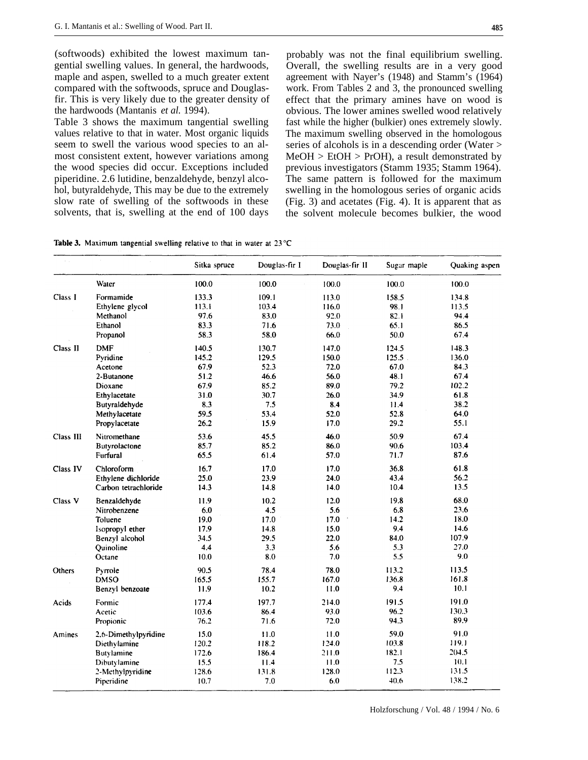(softwoods) exhibited the lowest maximum tangential swelling values. In general, the hardwoods, maple and aspen, swelled to a much greater extent compared with the softwoods, spruce and Douglasfir. This is very likely due to the greater density of the hardwoods (Mantanis *et al.* 1994).

Table 3 shows the maximum tangential swelling values relative to that in water. Most organic liquids seem to swell the various wood species to an almost consistent extent, however variations among the wood species did occur. Exceptions included piperidine. 2.6 lutidine, benzaldehyde, benzyl alcohol, butyraldehyde, This may be due to the extremely slow rate of swelling of the softwoods in these solvents, that is, swelling at the end of 100 days

probably was not the final equilibrium swelling. Overall, the swelling results are in a very good agreement with Nayer's (1948) and Stamm's (1964) work. From Tables 2 and 3, the pronounced swelling effect that the primary amines have on wood is obvious. The lower amines swelled wood relatively fast while the higher (bulkier) ones extremely slowly. The maximum swelling observed in the homologous series of alcohols is in a descending order (Water >  $MeOH > EtOH > PrOH$ ), a result demonstrated by previous investigators (Stamm 1935; Stamm 1964). The same pattern is followed for the maximum swelling in the homologous series of organic acids (Fig. 3) and acetates (Fig. 4). It is apparent that as the solvent molecule becomes bulkier, the wood

| <b>Table 3.</b> Maximum tangential swelling relative to that in water at $23^{\circ}$ C |  |  |  |  |  |
|-----------------------------------------------------------------------------------------|--|--|--|--|--|
|                                                                                         |  |  |  |  |  |

|           |                      | Sitka spruce | Douglas-fir I | Douglas-fir II | Sugar maple | Quaking aspen |
|-----------|----------------------|--------------|---------------|----------------|-------------|---------------|
|           | Water                | 100.0        | 100.0         | 100.0          | 100.0       | 100.0         |
| Class 1   | Formamide            | 133.3        | 109.1         | 113.0          | 158.5       | 134.8         |
|           | Ethylene glycol      | 113.1        | 103.4         | 116.0          | 98.1        | 113.5         |
|           | Methanol             | 97.6         | 83.0          | 92.0           | 82.1        | 94.4          |
|           | Ethanol              | 83.3         | 71.6          | 73.0           | 65.1        | 86.5          |
|           | Propanol             | 58.3         | 58.0          | 66.0           | 50.0        | 67.4          |
| Class II  | <b>DMF</b>           | 140.5        | 130.7         | 147.0          | 124.5       | 148.3         |
|           | Pyridine             | 145.2        | 129.5         | 150.0          | 125.5       | 136.0         |
|           | Acetone              | 67.9         | 52.3          | 72.0           | 67.0        | 84.3          |
|           | 2-Butanone           | 51.2         | 46.6          | 56.0           | 48.1        | 67.4          |
|           | Dioxane              | 67.9         | 85.2          | 89.0           | 79.2        | 102.2         |
|           | Ethylacetate         | 31.0         | 30.7          | 26.0           | 34.9        | 61.8          |
|           | Butyraldehyde        | 8.3          | 7.5           | 8.4            | 11.4        | 38.2          |
|           | Methylacetate        | 59.5         | 53.4          | 52.0           | 52.8        | 64.0          |
|           | Propylacetate        | 26.2         | 15.9          | 17.0           | 29.2        | 55.1          |
| Class III | Nitromethane         | 53.6         | 45.5          | 46.0           | 50.9        | 67.4          |
|           | Butyrolactone        | 85.7         | 85.2          | 86.0           | 90.6        | 103.4         |
|           | Furfural             | 65.5         | 61.4          | 57.0           | 71.7        | 87.6          |
| Class IV  | Chloroform           | 16.7         | 17.0          | 17.0           | 36.8        | 61.8          |
|           | Ethylene dichloride  | 25.0         | 23.9          | 24.0           | 43.4        | 56.2          |
|           | Carbon tetrachioride | 14.3         | 14.8          | 14.0           | 10.4        | 13.5          |
| Class V   | Benzaldehyde         | 11.9         | 10.2          | 12.0           | 19.8        | 68.0          |
|           | Nitrobenzene         | 6.0          | 4.5           | 5.6            | 6.8         | 23.6          |
|           | Toluene              | 19.0         | 17.0          | 17.0           | 14.2        | 18.0          |
|           | Isopropyl ether      | 17.9         | 14.8          | 15.0           | 9.4         | 14.6          |
|           | Benzyl alcohol       | 34.5         | 29.5          | 22.0           | 84.0        | 107.9         |
|           | Ouinoline            | 4.4          | 3.3           | 5.6            | 5.3         | 27.0          |
|           | Octane               | 10.0         | 8.0           | 7.0            | 5.5         | 9.0           |
| Others    | Pyrrole              | 90.5         | 78.4          | 78.0           | 113.2       | 113.5         |
|           | <b>DMSO</b>          | 165.5        | 155.7         | 167.0          | 136.8       | 161.8         |
|           | Benzyl benzoate      | 11.9         | 10.2          | 11.0           | 9.4         | 10.1          |
| Acids     | Formic               | 177.4        | 197.7         | 214.0          | 191.5       | 191.0         |
|           | Acetic               | 103.6        | 86.4          | 93.0           | 96.2        | 130.3         |
|           | Propionic            | 76.2         | 71.6          | 72.0           | 94.3        | 89.9          |
| Amines    | 2.6-Dimethylpyridine | 15.0         | 11.0          | 11.0           | 59.0        | 91.0          |
|           | Diethylamine         | 120.2        | 118.2         | 124.0          | 103.8       | 119.1         |
|           | Butylamine           | 172.6        | 186.4         | 211.0          | 182.1       | 204.5         |
|           | Dibutylamine         | 15.5         | 11.4          | 11.0           | 7.5         | 10.1          |
|           | 2-Methylpyridine     | 128.6        | 131.8         | 128.0          | 112.3       | 131.5         |
|           | Piperidine           | 10.7         | 7.0           | 6.0            | 40.6        | 138.2         |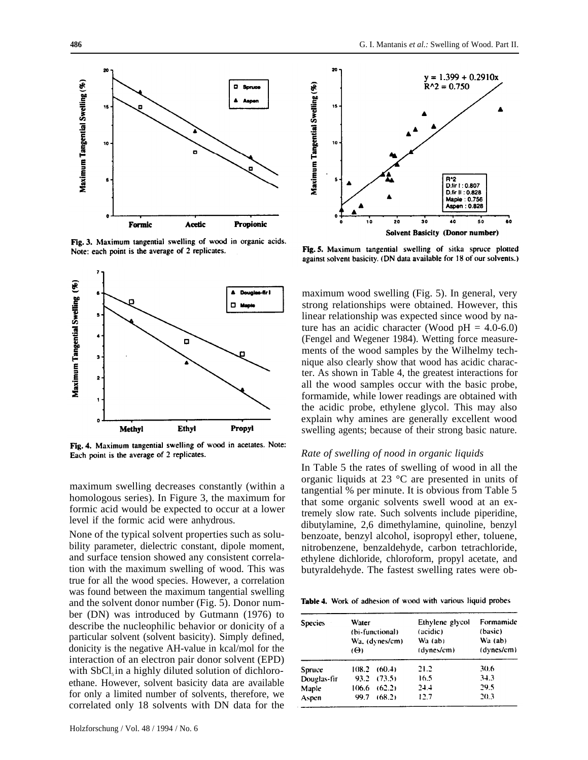

Fig. 3. Maximum tangential swelling of wood in organic acids. Note: each point is the average of 2 replicates.



Fig. 4. Maximum tangential swelling of wood in acetates. Note: Each point is the average of 2 replicates.

maximum swelling decreases constantly (within a homologous series). In Figure 3, the maximum for formic acid would be expected to occur at a lower level if the formic acid were anhydrous.

None of the typical solvent properties such as solubility parameter, dielectric constant, dipole moment, and surface tension showed any consistent correlation with the maximum swelling of wood. This was true for all the wood species. However, a correlation was found between the maximum tangential swelling and the solvent donor number (Fig. 5). Donor number (DN) was introduced by Gutmann (1976) to describe the nucleophilic behavior or donicity of a particular solvent (solvent basicity). Simply defined, donicity is the negative AH-value in kcal/mol for the interaction of an electron pair donor solvent (EPD) with  $SbCl<sub>3</sub>$  in a highly diluted solution of dichloroethane. However, solvent basicity data are available for only a limited number of solvents, therefore, we correlated only 18 solvents with DN data for the



Fig. 5. Maximum tangential swelling of sitka spruce plotted against solvent basicity. (DN data available for 18 of our solvents.)

maximum wood swelling (Fig. 5). In general, very strong relationships were obtained. However, this linear relationship was expected since wood by nature has an acidic character (Wood  $pH = 4.0-6.0$ ) (Fengel and Wegener 1984). Wetting force measurements of the wood samples by the Wilhelmy technique also clearly show that wood has acidic character. As shown in Table 4, the greatest interactions for all the wood samples occur with the basic probe, formamide, while lower readings are obtained with the acidic probe, ethylene glycol. This may also explain why amines are generally excellent wood swelling agents; because of their strong basic nature.

### *Rate of swelling of nood in organic liquids*

In Table 5 the rates of swelling of wood in all the organic liquids at 23 °C are presented in units of tangential % per minute. It is obvious from Table 5 that some organic solvents swell wood at an extremely slow rate. Such solvents include piperidine, dibutylamine, 2,6 dimethylamine, quinoline, benzyl benzoate, benzyl alcohol, isopropyl ether, toluene, nitrobenzene, benzaldehyde, carbon tetrachloride, ethylene dichloride, chloroform, propyl acetate, and butyraldehyde. The fastest swelling rates were ob-

Table 4. Work of adhesion of wood with various liquid probes

| <b>Species</b> | <b>Water</b><br>(bi-functional)<br>$(\Theta)$ | Wa. (dynes/cm)  | Ethylene glycol<br>(acidic)<br>Wa (ab)<br>(dynes/cm) | Formamide<br>(basic)<br>$W_a$ (ab)<br>(dynes/cm) |
|----------------|-----------------------------------------------|-----------------|------------------------------------------------------|--------------------------------------------------|
| Spruce         | 108.2                                         | (60.4)          | 21.2                                                 | 30.6                                             |
| Douglas-fir    |                                               | $93.2$ $(73.5)$ | 16.5                                                 | 34.3                                             |
| Maple          | 106.6                                         | (62.2)          | 24.4                                                 | 29.5                                             |
| Aspen          | 99.7                                          | (68.2)          | 12.7                                                 | 20.3                                             |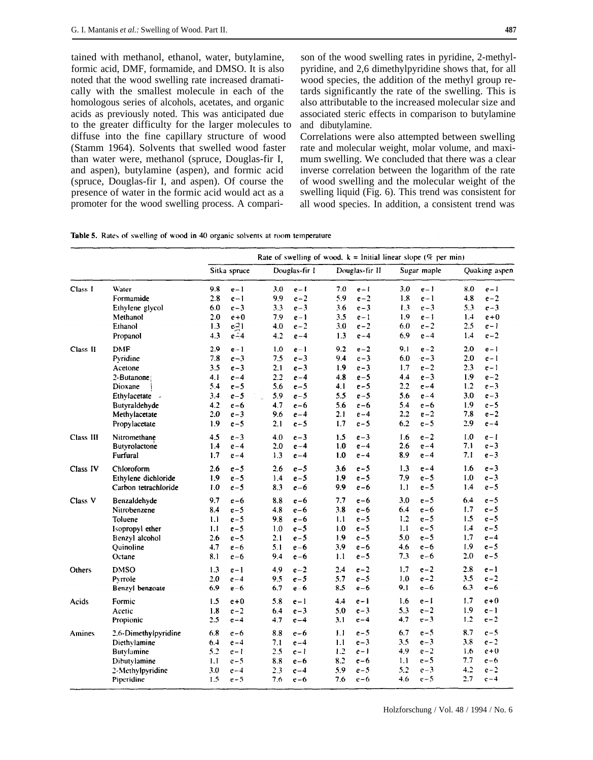tained with methanol, ethanol, water, butylamine, formic acid, DMF, formamide, and DMSO. It is also noted that the wood swelling rate increased dramatically with the smallest molecule in each of the homologous series of alcohols, acetates, and organic acids as previously noted. This was anticipated due to the greater difficulty for the larger molecules to diffuse into the fine capillary structure of wood (Stamm 1964). Solvents that swelled wood faster than water were, methanol (spruce, Douglas-fir I, and aspen), butylamine (aspen), and formic acid (spruce, Douglas-fir I, and aspen). Of course the presence of water in the formic acid would act as a promoter for the wood swelling process. A compari-

son of the wood swelling rates in pyridine, 2-methylpyridine, and 2,6 dimethylpyridine shows that, for all wood species, the addition of the methyl group retards significantly the rate of the swelling. This is also attributable to the increased molecular size and associated steric effects in comparison to butylamine and dibutylamine.

Correlations were also attempted between swelling rate and molecular weight, molar volume, and maximum swelling. We concluded that there was a clear inverse correlation between the logarithm of the rate of wood swelling and the molecular weight of the swelling liquid (Fig. 6). This trend was consistent for all wood species. In addition, a consistent trend was

|  |  |  |  |  |  |  | <b>Table 5.</b> Rates of swelling of wood in 40 organic solvents at room temperature |
|--|--|--|--|--|--|--|--------------------------------------------------------------------------------------|
|--|--|--|--|--|--|--|--------------------------------------------------------------------------------------|

|           |                                                                                                                                                 |                                                                                                                                               | Rate of swelling of wood. $k =$ Initial linear slope (% per min)                                                                             |                                                                                                                                                |                                                                                                                                               |                                                                                                                                                |  |  |  |
|-----------|-------------------------------------------------------------------------------------------------------------------------------------------------|-----------------------------------------------------------------------------------------------------------------------------------------------|----------------------------------------------------------------------------------------------------------------------------------------------|------------------------------------------------------------------------------------------------------------------------------------------------|-----------------------------------------------------------------------------------------------------------------------------------------------|------------------------------------------------------------------------------------------------------------------------------------------------|--|--|--|
|           |                                                                                                                                                 | Sitka spruce                                                                                                                                  | Douglas-fir I                                                                                                                                | Douglas-fir II                                                                                                                                 | Sugar maple                                                                                                                                   | Quaking aspen                                                                                                                                  |  |  |  |
| Class I   | Water<br>Formamide<br>Ethylene glycol<br>Methanol<br>Ethanol<br>Propanol                                                                        | 9.8<br>$e-1$<br>2.8<br>$e - 1$<br>6.0<br>$e-3$<br>2.0<br>$e + 0$<br>$e^{-1}$<br>1.3<br>4.3<br>$e - 4$                                         | 3.0<br>$e - 1$<br>9.9<br>$e-2$<br>$e-3$<br>3.3<br>7.9<br>$e-1$<br>$e-2$<br>4.0<br>4.2<br>$e-4$                                               | 7.0<br>$e - 1$<br>5.9<br>$e-2$<br>3.6<br>$e-3$<br>3.5<br>$e-1$<br>3.0<br>$e-2$<br>1.3<br>$e-4$                                                 | 3.0<br>$e-1$<br>1.8<br>$e-1$<br>1.3<br>$e-3$<br>1.9<br>$e - 1$<br>$e-2$<br>6.0<br>6.9<br>$e-4$                                                | 8.0<br>$e-1$<br>4.8<br>$e-2$<br>$e-3$<br>5.3<br>1.4<br>$e + 0$<br>2.5<br>$e-1$<br>$e-2$<br>1.4                                                 |  |  |  |
| Class II  | <b>DMF</b><br>Pyridine<br>Acetone<br>2-Butanone<br>Dioxane<br>Ethylacetate<br>$\overline{a}$<br>Butyraldehyde<br>Methylacetate<br>Propylacetate | 29<br>$e-1$<br>7.8<br>$e-3$<br>3.5<br>$e - 3$<br>4.1<br>$e-4$<br>5.4<br>$e-5$<br>3.4<br>$e-5$<br>4.2<br>$e-6$<br>2.0<br>$e-3$<br>1.9<br>$e-5$ | 1.0<br>$e-1$<br>7.5<br>$e-3$<br>2.1<br>$e-3$<br>2.2<br>$e-4$<br>5.6<br>$e-5$<br>5.9<br>$e-5$<br>4.7<br>$e-6$<br>9.6<br>$e-4$<br>2.1<br>$e-5$ | 9.2<br>$e-2$<br>9.4<br>$e-3$<br>1.9<br>$e-3$<br>4.8<br>$e - 5$<br>4.1<br>$e-5$<br>5.5<br>$e-5$<br>5.6<br>$e-6$<br>2.1<br>$e-4$<br>1.7<br>$e-5$ | $e-2$<br>9.1<br>6.0<br>$-e-3$<br>$e-2$<br>1.7<br>$e-3$<br>4.4<br>2.2<br>$e-4$<br>5.6<br>$e-4$<br>5.4<br>$e-6$<br>2.2<br>$e-2$<br>6.2<br>$e-5$ | 2.0<br>$e-1$<br>2.0<br>$e - 1$<br>2.3<br>e – 1<br>1.9<br>$e-2$<br>1.2<br>$e-3$<br>3.0<br>$e-3$<br>1.9<br>$e-5$<br>7.8<br>$e-2$<br>2.9<br>$e-4$ |  |  |  |
| Class III | Nitromethane<br>Butyrolactone<br>Furfural                                                                                                       | 4.5<br>$e-3$<br>1.4<br>$e-4$<br>1.7<br>$e - 4$                                                                                                | 4.0<br>$e-3$<br>2.0<br>$e-4$<br>$e-4$<br>1.3                                                                                                 | 1.5<br>$e-3$<br>1.0<br>$e-4$<br>1.0<br>$e-4$                                                                                                   | $e-2$<br>1.6<br>2.6<br>$e-4$<br>8.9<br>$e-4$                                                                                                  | 1.0<br>e – 1<br>7.1<br>$e-3$<br>7.1<br>$e-3$                                                                                                   |  |  |  |
| Class IV  | Chloroform<br>Ethylene dichloride<br>Carbon tetrachloride                                                                                       | 2.6<br>$e-5$<br>1.9<br>$e-5$<br>1.0<br>$e-5$                                                                                                  | 2.6<br>$e - 5$<br>1.4<br>$e-5$<br>$e-6$<br>8.3                                                                                               | $e-5$<br>3.6<br>1.9<br>$e-5$<br>9.9<br>$e-6$                                                                                                   | 1.3<br>$e-4$<br>$e-5$<br>7.9<br>1.1<br>$e-5$                                                                                                  | e – 3<br>1.6<br>$e-3$<br>1.0<br>1.4<br>$e-5$                                                                                                   |  |  |  |
| Class V   | Benzaldehyde<br>Nitrobenzene<br>Toluene<br>Isopropyl ether<br>Benzyl alcohol<br>Ouinoline<br>Octane                                             | 9.7<br>$e-6$<br>8.4<br>$e-5$<br>IJ<br>$e-5$<br>1.1<br>$e-5$<br>2.6<br>$e-5$<br>4.7<br>$e-6$<br>8.1<br>$e-6$                                   | 8.8<br>$e-6$<br>4.8<br>$e-6$<br>9.8<br>$e-6$<br>$e-5$<br>1.0<br>2.1<br>$e-5$<br>5.1<br>$e-6$<br>9.4<br>$e-6$                                 | 7.7<br>$e-6$<br>3.8<br>$e-6$<br>1.1<br>$e-5$<br>$e-5$<br>1.0<br>1.9<br>$e-5$<br>3.9<br>$e-6$<br>$e-5$<br>1.1                                   | 3.0<br>$e-5$<br>6.4<br>$e-6$<br>1.2<br>$e-5$<br>1.1<br>$e-5$<br>5.0<br>$e-5$<br>4.6<br>$e-6$<br>7.3<br>$e-6$                                  | 6.4<br>$e - 5$<br>$e-5$<br>1.7<br>1.5<br>$e-5$<br>$e - 5$<br>1.4<br>1.7<br>$e-4$<br>1.9<br>$e-5$<br>2.0<br>$e-5$                               |  |  |  |
| Others    | <b>DMSO</b><br>Pyrroie<br>Benzyl benzoate                                                                                                       | 1.3<br>$e - 1$<br>2.0<br>$e-4$<br>6.9<br>$e-6$                                                                                                | 4.9<br>$e-2$<br>9.5<br>$e-5$<br>6.7<br>$e-6$                                                                                                 | $e-2$<br>2.4<br>5.7<br>$e - 5$<br>8.5<br>$e-6$                                                                                                 | $e-2$<br>1.7<br>$e-2$<br>1.0<br>9.1<br>$e-6$                                                                                                  | 2.8<br>$e-1$<br>3.5<br>$e - 2$<br>6.3<br>$e-6$                                                                                                 |  |  |  |
| Acids     | Formic<br>Acetic<br>Propionic                                                                                                                   | 1.5<br>$e + 0$<br>1.8<br>$e-2$<br>2.5<br>$e-4$                                                                                                | 5.8<br>$e-1$<br>$e-3$<br>6.4<br>4.7<br>$e-4$                                                                                                 | 4.4<br>$e - 1$<br>5.0<br>$e-3$<br>3.1<br>$e-4$                                                                                                 | 1.6<br>$e - 1$<br>5.3<br>$e-2$<br>$e-3$<br>4.7                                                                                                | 1.7<br>$e+0$<br>1.9<br>$e-1$<br>1.2<br>$e-2$                                                                                                   |  |  |  |
| Amines    | 2.6-Dimethylpyridine<br>Diethylamine<br>Butylamine<br>Dibutylamine<br>2-Methylpyridine<br>Piperidine                                            | 6.8<br>$e-6$<br>6.4<br>$e-4$<br>5.2<br>$e - 1$<br>1.1<br>$e-5$<br>3.0<br>$e-4$<br>1.5<br>$e-5$                                                | 8.8<br>$e-6$<br>7.1<br>$e-4$<br>2.5<br>$e-1$<br>8.8<br>$e-6$<br>2.3<br>$e-4$<br>7.6<br>$e-6$                                                 | 1.1<br>$e-5$<br>1.1<br>$e-3$<br>1.2<br>$e-1$<br>8.2<br>$e-6$<br>5.9<br>$e - 5$<br>7.6<br>$e-6$                                                 | 6.7<br>$e-5$<br>3.5<br>$e-3$<br>$e-2$<br>4.9<br>$e-5$<br>1.1<br>5.2<br>$e-3$<br>$e-5$<br>4.6                                                  | 8.7<br>$e-5$<br>$e-2$<br>3.8<br>$e+0$<br>1.6<br>7.7<br>$e-6$<br>4.2<br>$e-2$<br>2.7<br>$e-4$                                                   |  |  |  |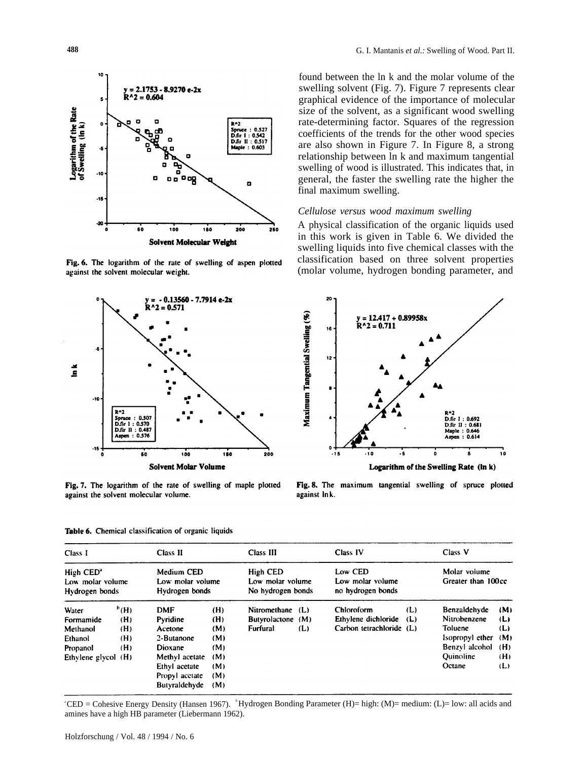

Fig. 6. The logarithm of the rate of swelling of aspen plotted against the solvent molecular weight.



Fig. 7. The logarithm of the rate of swelling of maple plotted against the solvent molecular volume.

Table 6. Chemical classification of organic liquids

Class I Class II Class III Class IV Class V Molar volume Medium CED **High CED** Low CED High CED<sup>®</sup> Low molar volume Greater than 100cc Low molar volume Low molar volume Low molar volume Hydrogen bonds Hydrogen bonds No hydrogen bonds no hydrogen bonds  $^{\circ}$ (H)  $(L)$ Benzaldehyde Water **DMF**  $(H)$ Nitromethane (L) Chloroform  $(M)$ Ethylene dichloride  $(L)$ Nitrobenzene Pyridine  $(H)$ Butyrolactone (M)  $(L)$  $(H)$ Formamide Furfural Carbon tetrachloride (L) Toluene Methanol  $(H)$ Acetone  $(M)$  $(L)$  $(L)$ Isopropyl ether Ethanol  $(H)$ 2-Butanone  $(M)$  $(M)$  $(H)$ Dioxane  $(M)$ Benzyl alcohol  $(H)$ Propanol Methyl acetate  $(M)$ Quinoline  $(H)$ Ethylene glycol (H) Ethyl acetate  $(M)$ Octane  $(L)$ Propyl acctate  $(M)$ Butyraldehyde  $(M)$ 

 $^{\circ}$ CED = Cohesive Energy Density (Hansen 1967).  $^{\circ}$ Hydrogen Bonding Parameter (H)= high: (M)= medium: (L)= low: all acids and amines have a high HB parameter (Liebermann 1962).

found between the ln k and the molar volume of the swelling solvent (Fig. 7). Figure 7 represents clear graphical evidence of the importance of molecular size of the solvent, as a significant wood swelling rate-determining factor. Squares of the regression coefficients of the trends for the other wood species are also shown in Figure 7. In Figure 8, a strong relationship between ln k and maximum tangential swelling of wood is illustrated. This indicates that, in general, the faster the swelling rate the higher the final maximum swelling.

# *Cellulose versus wood maximum swelling*

A physical classification of the organic liquids used in this work is given in Table 6. We divided the swelling liquids into five chemical classes with the classification based on three solvent properties (molar volume, hydrogen bonding parameter, and



Fig. 8. The maximum tangential swelling of spruce plotted against Ink.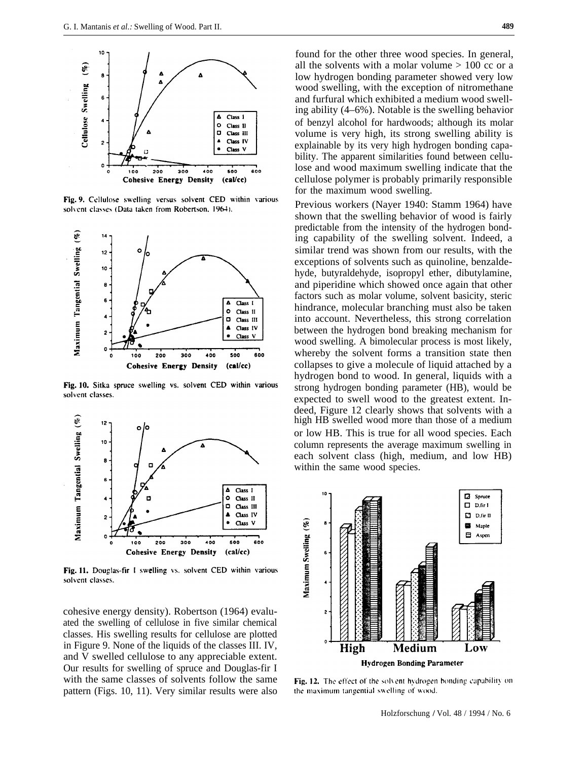

Fig. 9. Cellulose swelling versus solvent CED within various solvent classes (Data taken from Robertson, 1964).



Fig. 10. Sitka spruce swelling vs. solvent CED within various solvent classes.



Fig. 11. Douglas-fir I swelling vs. solvent CED within various solvent classes.

cohesive energy density). Robertson (1964) evaluated the swelling of cellulose in five similar chemical classes. His swelling results for cellulose are plotted in Figure 9. None of the liquids of the classes III. IV, and V swelled cellulose to any appreciable extent. Our results for swelling of spruce and Douglas-fir I with the same classes of solvents follow the same pattern (Figs. 10, 11). Very similar results were also

found for the other three wood species. In general, all the solvents with a molar volume  $> 100$  cc or a low hydrogen bonding parameter showed very low wood swelling, with the exception of nitromethane and furfural which exhibited a medium wood swelling ability (4–6%). Notable is the swelling behavior of benzyl alcohol for hardwoods; although its molar volume is very high, its strong swelling ability is explainable by its very high hydrogen bonding capability. The apparent similarities found between cellulose and wood maximum swelling indicate that the cellulose polymer is probably primarily responsible for the maximum wood swelling.

Previous workers (Nayer 1940: Stamm 1964) have shown that the swelling behavior of wood is fairly predictable from the intensity of the hydrogen bonding capability of the swelling solvent. Indeed, a similar trend was shown from our results, with the exceptions of solvents such as quinoline, benzaldehyde, butyraldehyde, isopropyl ether, dibutylamine, and piperidine which showed once again that other factors such as molar volume, solvent basicity, steric hindrance, molecular branching must also be taken into account. Nevertheless, this strong correlation between the hydrogen bond breaking mechanism for wood swelling. A bimolecular process is most likely, whereby the solvent forms a transition state then collapses to give a molecule of liquid attached by a hydrogen bond to wood. In general, liquids with a strong hydrogen bonding parameter (HB), would be expected to swell wood to the greatest extent. Indeed, Figure 12 clearly shows that solvents with a high HB swelled wood more than those of a medium or low HB. This is true for all wood species. Each column represents the average maximum swelling in each solvent class (high, medium, and low HB) within the same wood species.



Fig. 12. The effect of the solvent hydrogen bonding capability on the maximum tangential swelling of wood.